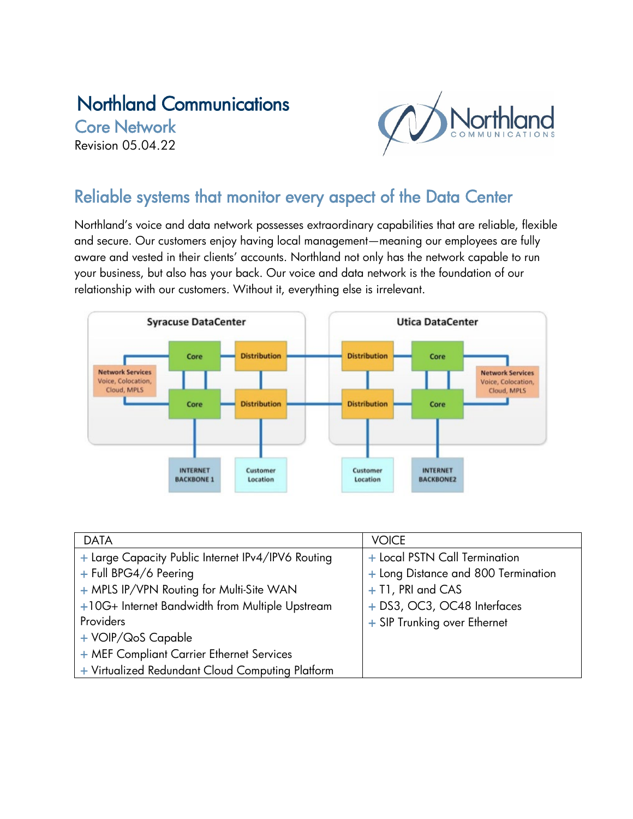# Northland Communications

Core Network Revision 05.04.22



# Reliable systems that monitor every aspect of the Data Center

Northland's voice and data network possesses extraordinary capabilities that are reliable, flexible and secure. Our customers enjoy having local management—meaning our employees are fully aware and vested in their clients' accounts. Northland not only has the network capable to run your business, but also has your back. Our voice and data network is the foundation of our relationship with our customers. Without it, everything else is irrelevant.



| <b>DATA</b>                                        | <b>VOICE</b>                        |
|----------------------------------------------------|-------------------------------------|
| + Large Capacity Public Internet IPv4/IPV6 Routing | + Local PSTN Call Termination       |
| + Full BPG4/6 Peering                              | + Long Distance and 800 Termination |
| + MPLS IP/VPN Routing for Multi-Site WAN           | + T1, PRI and CAS                   |
| +10G+ Internet Bandwidth from Multiple Upstream    | + DS3, OC3, OC48 Interfaces         |
| Providers                                          | + SIP Trunking over Ethernet        |
| + VOIP/QoS Capable                                 |                                     |
| + MEF Compliant Carrier Ethernet Services          |                                     |
| + Virtualized Redundant Cloud Computing Platform   |                                     |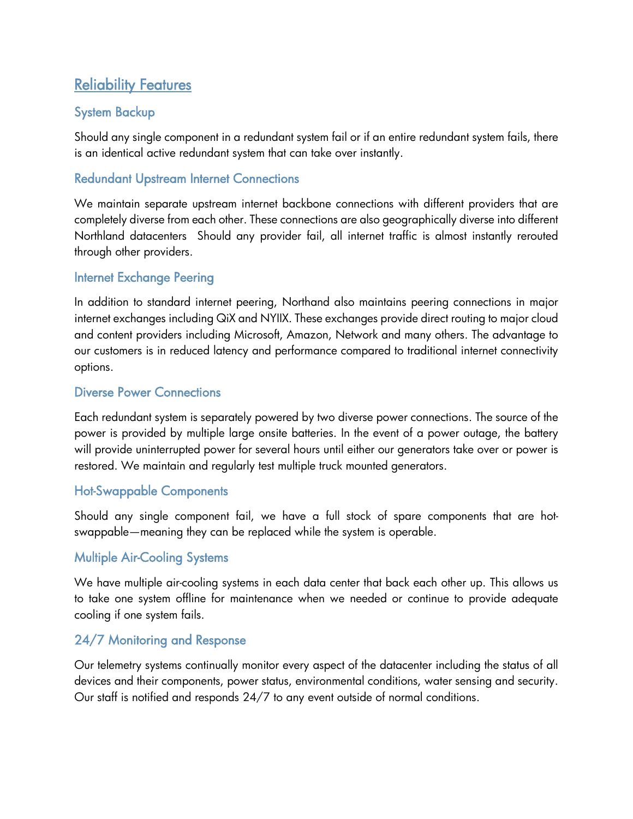# Reliability Features

## System Backup

Should any single component in a redundant system fail or if an entire redundant system fails, there is an identical active redundant system that can take over instantly.

### Redundant Upstream Internet Connections

We maintain separate upstream internet backbone connections with different providers that are completely diverse from each other. These connections are also geographically diverse into different Northland datacenters Should any provider fail, all internet traffic is almost instantly rerouted through other providers.

#### Internet Exchange Peering

In addition to standard internet peering, Northand also maintains peering connections in major internet exchanges including QiX and NYIIX. These exchanges provide direct routing to major cloud and content providers including Microsoft, Amazon, Network and many others. The advantage to our customers is in reduced latency and performance compared to traditional internet connectivity options.

#### Diverse Power Connections

Each redundant system is separately powered by two diverse power connections. The source of the power is provided by multiple large onsite batteries. In the event of a power outage, the battery will provide uninterrupted power for several hours until either our generators take over or power is restored. We maintain and regularly test multiple truck mounted generators.

#### Hot-Swappable Components

Should any single component fail, we have a full stock of spare components that are hotswappable—meaning they can be replaced while the system is operable.

#### Multiple Air-Cooling Systems

We have multiple air-cooling systems in each data center that back each other up. This allows us to take one system offline for maintenance when we needed or continue to provide adequate cooling if one system fails.

### 24/7 Monitoring and Response

Our telemetry systems continually monitor every aspect of the datacenter including the status of all devices and their components, power status, environmental conditions, water sensing and security. Our staff is notified and responds 24/7 to any event outside of normal conditions.